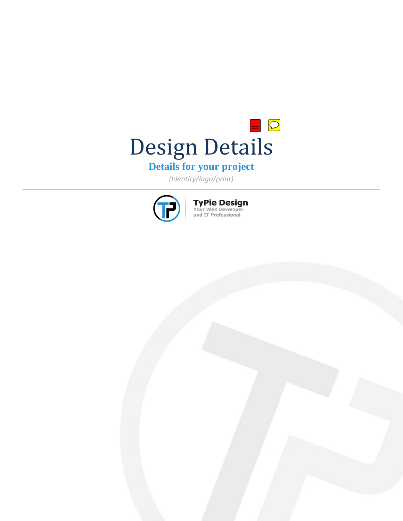

# **Details for your project**

*(Identity/logo/print)*



**TyPie Design**<br>Your Web Developer<br>and IT Professional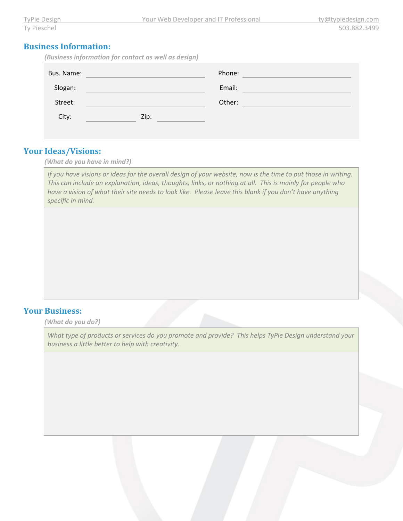#### **Business Information:**

*(Business information for contact as well as design)*

| Bus. Name: |      | Phone: |  |
|------------|------|--------|--|
| Slogan:    |      | Email: |  |
| Street:    |      | Other: |  |
| City:      | Zip: |        |  |
|            |      |        |  |

#### **Your Ideas/Visions:**

*(What do you have in mind?)*

*If you have visions or ideas for the overall design of your website, now is the time to put those in writing. This can include an explanation, ideas, thoughts, links, or nothing at all. This is mainly for people who have a vision of what their site needs to look like. Please leave this blank if you don't have anything specific in mind.* 

### **Your Business:**

*(What do you do?)*

*What type of products or services do you promote and provide? This helps TyPie Design understand your business a little better to help with creativity.*